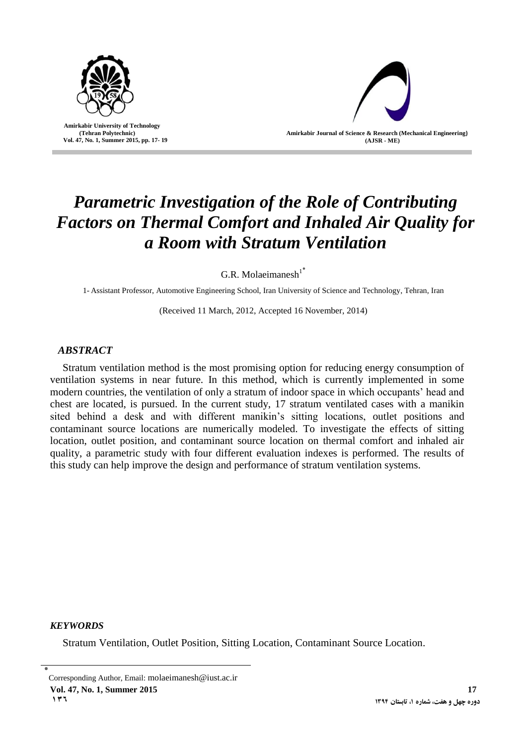

 **Amirkabir University of Technology (Tehran Polytechnic) Vol. 47, No. 1, Summer 2015, pp. 17- 19**



# *Parametric Investigation of the Role of Contributing Factors on Thermal Comfort and Inhaled Air Quality for a Room with Stratum Ventilation*

G.R. Molaeimanesh $1^*$ 

1- Assistant Professor, Automotive Engineering School, Iran University of Science and Technology, Tehran, Iran

(Received 11 March, 2012, Accepted 16 November, 2014)

## *ABSTRACT*

Stratum ventilation method is the most promising option for reducing energy consumption of ventilation systems in near future. In this method, which is currently implemented in some modern countries, the ventilation of only a stratum of indoor space in which occupants' head and chest are located, is pursued. In the current study, 17 stratum ventilated cases with a manikin sited behind a desk and with different manikin's sitting locations, outlet positions and contaminant source locations are numerically modeled. To investigate the effects of sitting location, outlet position, and contaminant source location on thermal comfort and inhaled air quality, a parametric study with four different evaluation indexes is performed. The results of this study can help improve the design and performance of stratum ventilation systems.

## *KEYWORDS*

Stratum Ventilation, Outlet Position, Sitting Location, Contaminant Source Location.

<sup>٭</sup> Corresponding Author, Email: molaeimanesh@iust.ac.ir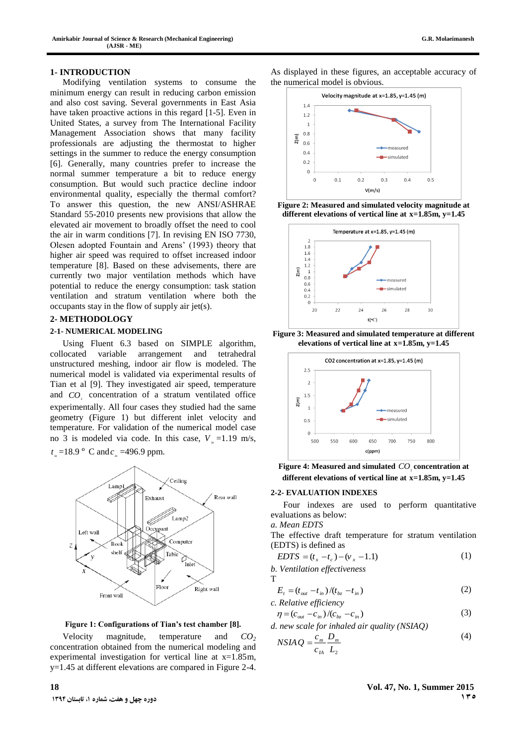#### **1- INTRODUCTION**

Modifying ventilation systems to consume the minimum energy can result in reducing carbon emission and also cost saving. Several governments in East Asia have taken proactive actions in this regard [1-5]. Even in United States, a survey from The International Facility Management Association shows that many facility professionals are adjusting the thermostat to higher settings in the summer to reduce the energy consumption [6]. Generally, many countries prefer to increase the normal summer temperature a bit to reduce energy consumption. But would such practice decline indoor environmental quality, especially the thermal comfort? To answer this question, the new ANSI/ASHRAE Standard 55-2010 presents new provisions that allow the elevated air movement to broadly offset the need to cool the air in warm conditions [7]. In revising EN ISO 7730, Olesen adopted Fountain and Arens' (1993) theory that higher air speed was required to offset increased indoor temperature [8]. Based on these advisements, there are currently two major ventilation methods which have potential to reduce the energy consumption: task station ventilation and stratum ventilation where both the occupants stay in the flow of supply air jet(s).

#### **2- METHODOLOGY**

#### **2-1- NUMERICAL MODELING**

Using Fluent 6.3 based on SIMPLE algorithm, collocated variable arrangement and tetrahedral unstructured meshing, indoor air flow is modeled. The numerical model is validated via experimental results of Tian et al [9]. They investigated air speed, temperature and  $CO<sub>2</sub>$  concentration of a stratum ventilated office experimentally. All four cases they studied had the same geometry (Figure 1) but different inlet velocity and temperature. For validation of the numerical model case no 3 is modeled via code. In this case,  $V_i = 1.19$  m/s,  $t_{in} = 18.9$  ° C and  $c_{in} = 496.9$  ppm.



#### **Figure 1: Configurations of Tian's test chamber [8].**

Velocity magnitude, temperature and *CO<sup>2</sup>* concentration obtained from the numerical modeling and experimental investigation for vertical line at  $x=1.85m$ , y=1.45 at different elevations are compared in Figure 2-4.

As displayed in these figures, an acceptable accuracy of the numerical model is obvious.











**Figure 4: Measured and simulated**  $CO<sub>2</sub>$  concentration at **different elevations of vertical line at x=1.85m, y=1.45**

#### **2-2- EVALUATION INDEXES**

Four indexes are used to perform quantitative evaluations as below:

*a. Mean EDTS*

The effective draft temperature for stratum ventilation (EDTS) is defined as

$$
EDTS = (t_x - t_c) - (v_x - 1.1)
$$
 (1)

*b. Ventilation effectiveness* T

$$
E_t = (t_{out} - t_{in})/(t_{bz} - t_{in})
$$
  
c. Relative efficiency (2)

$$
\eta = (c_{out} - c_{in})/(c_{bz} - c_{in})
$$
\n(3)

*d. new scale for inhaled air quality (NSIAQ)*

$$
NSIAQ = \frac{c_m}{c_{IA}} \frac{D_m}{L_2} \tag{4}
$$